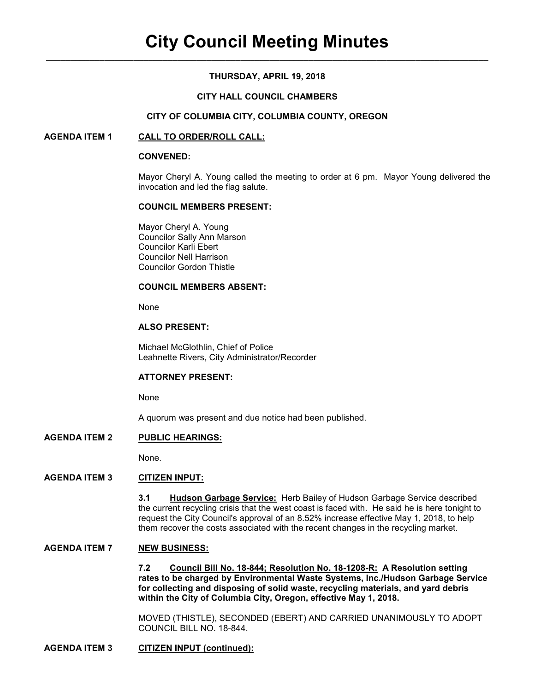# **THURSDAY, APRIL 19, 2018**

# **CITY HALL COUNCIL CHAMBERS**

## **CITY OF COLUMBIA CITY, COLUMBIA COUNTY, OREGON**

## **AGENDA ITEM 1 CALL TO ORDER/ROLL CALL:**

#### **CONVENED:**

Mayor Cheryl A. Young called the meeting to order at 6 pm. Mayor Young delivered the invocation and led the flag salute.

### **COUNCIL MEMBERS PRESENT:**

 Mayor Cheryl A. Young Councilor Sally Ann Marson Councilor Karli Ebert Councilor Nell Harrison Councilor Gordon Thistle

#### **COUNCIL MEMBERS ABSENT:**

None

# **ALSO PRESENT:**

Michael McGlothlin, Chief of Police Leahnette Rivers, City Administrator/Recorder

## **ATTORNEY PRESENT:**

None

A quorum was present and due notice had been published.

# **AGENDA ITEM 2 PUBLIC HEARINGS:**

None.

# **AGENDA ITEM 3 CITIZEN INPUT:**

**3.1 Hudson Garbage Service:** Herb Bailey of Hudson Garbage Service described the current recycling crisis that the west coast is faced with. He said he is here tonight to request the City Council's approval of an 8.52% increase effective May 1, 2018, to help them recover the costs associated with the recent changes in the recycling market.

# **AGENDA ITEM 7 NEW BUSINESS:**

**7.2 Council Bill No. 18-844; Resolution No. 18-1208-R: A Resolution setting rates to be charged by Environmental Waste Systems, Inc./Hudson Garbage Service for collecting and disposing of solid waste, recycling materials, and yard debris within the City of Columbia City, Oregon, effective May 1, 2018.** 

MOVED (THISTLE), SECONDED (EBERT) AND CARRIED UNANIMOUSLY TO ADOPT COUNCIL BILL NO. 18-844.

# **AGENDA ITEM 3 CITIZEN INPUT (continued):**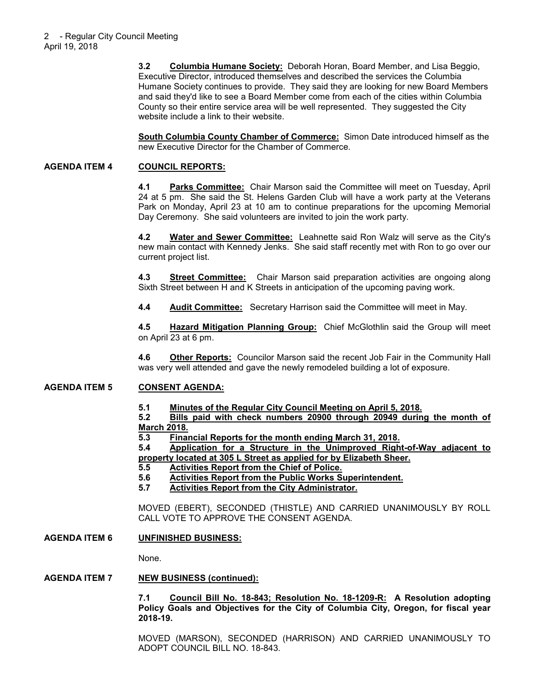**3.2 Columbia Humane Society:** Deborah Horan, Board Member, and Lisa Beggio, Executive Director, introduced themselves and described the services the Columbia Humane Society continues to provide. They said they are looking for new Board Members and said they'd like to see a Board Member come from each of the cities within Columbia County so their entire service area will be well represented. They suggested the City website include a link to their website.

**South Columbia County Chamber of Commerce:** Simon Date introduced himself as the new Executive Director for the Chamber of Commerce.

# **AGENDA ITEM 4 COUNCIL REPORTS:**

**4.1 Parks Committee:** Chair Marson said the Committee will meet on Tuesday, April 24 at 5 pm. She said the St. Helens Garden Club will have a work party at the Veterans Park on Monday, April 23 at 10 am to continue preparations for the upcoming Memorial Day Ceremony. She said volunteers are invited to join the work party.

**4.2 Water and Sewer Committee:** Leahnette said Ron Walz will serve as the City's new main contact with Kennedy Jenks. She said staff recently met with Ron to go over our current project list.

**4.3 Street Committee:** Chair Marson said preparation activities are ongoing along Sixth Street between H and K Streets in anticipation of the upcoming paving work.

**4.4 Audit Committee:** Secretary Harrison said the Committee will meet in May.

**4.5 Hazard Mitigation Planning Group:** Chief McGlothlin said the Group will meet on April 23 at 6 pm.

**4.6 Other Reports:** Councilor Marson said the recent Job Fair in the Community Hall was very well attended and gave the newly remodeled building a lot of exposure.

## **AGENDA ITEM 5 CONSENT AGENDA:**

**5.1 Minutes of the Regular City Council Meeting on April 5, 2018.**

**5.2 Bills paid with check numbers 20900 through 20949 during the month of March 2018.**

**5.3 Financial Reports for the month ending March 31, 2018.**

**5.4 Application for a Structure in the Unimproved Right-of-Way adjacent to property located at 305 L Street as applied for by Elizabeth Sheer.**

- **5.5 Activities Report from the Chief of Police.**
- **5.6 Activities Report from the Public Works Superintendent.**
- **5.7 Activities Report from the City Administrator.**

MOVED (EBERT), SECONDED (THISTLE) AND CARRIED UNANIMOUSLY BY ROLL CALL VOTE TO APPROVE THE CONSENT AGENDA.

# **AGENDA ITEM 6 UNFINISHED BUSINESS:**

None.

## **AGENDA ITEM 7 NEW BUSINESS (continued):**

**7.1 Council Bill No. 18-843; Resolution No. 18-1209-R: A Resolution adopting Policy Goals and Objectives for the City of Columbia City, Oregon, for fiscal year 2018-19.** 

MOVED (MARSON), SECONDED (HARRISON) AND CARRIED UNANIMOUSLY TO ADOPT COUNCIL BILL NO. 18-843.